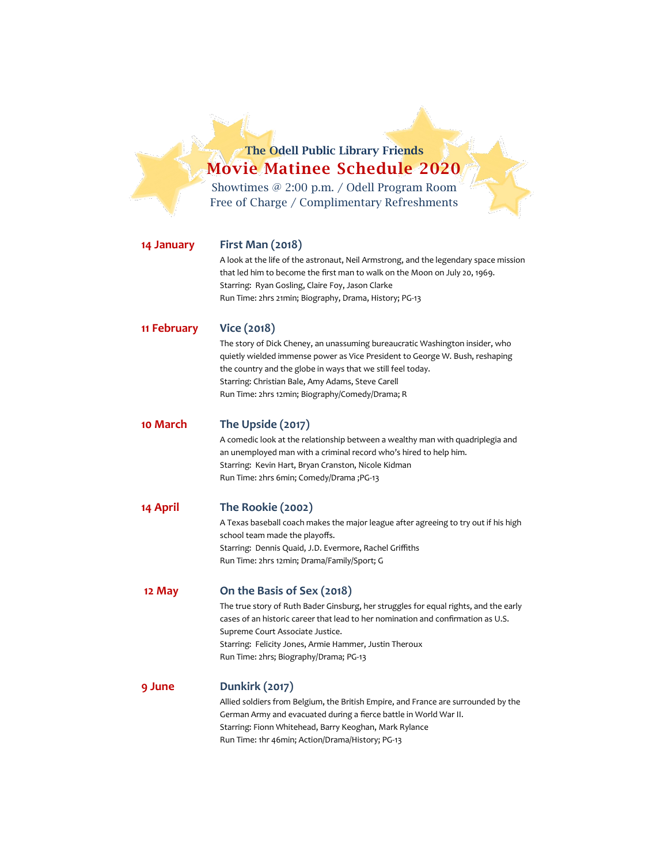**The Odell Public Library Friends Movie Matinee Schedule 2020** Showtimes @ 2:00 p.m. / Odell Program Room

Free of Charge / Complimentary Refreshments

## **14 January First Man (2018)**

A look at the life of the astronaut, Neil Armstrong, and the legendary space mission that led him to become the first man to walk on the Moon on July 20, 1969. Starring: Ryan Gosling, Claire Foy, Jason Clarke Run Time: 2hrs 21min; Biography, Drama, History; PG-13

#### **11 February Vice (2018)**

The story of Dick Cheney, an unassuming bureaucratic Washington insider, who quietly wielded immense power as Vice President to George W. Bush, reshaping the country and the globe in ways that we still feel today. Starring: Christian Bale, Amy Adams, Steve Carell Run Time: 2hrs 12min; Biography/Comedy/Drama; R

### **10 March The Upside (2017)**

A comedic look at the relationship between a wealthy man with quadriplegia and an unemployed man with a criminal record who's hired to help him. Starring: Kevin Hart, Bryan Cranston, Nicole Kidman Run Time: 2hrs 6min; Comedy/Drama ;PG-13

### **14 April The Rookie (2002)**

A Texas baseball coach makes the major league after agreeing to try out if his high school team made the playoffs. Starring: Dennis Quaid, J.D. Evermore, Rachel Griffiths Run Time: 2hrs 12min; Drama/Family/Sport; G

### **12 May On the Basis of Sex (2018)**

The true story of Ruth Bader Ginsburg, her struggles for equal rights, and the early cases of an historic career that lead to her nomination and confirmation as U.S. Supreme Court Associate Justice. Starring: Felicity Jones, Armie Hammer, Justin Theroux Run Time: 2hrs; Biography/Drama; PG-13

### **9 June Dunkirk (2017)**

Allied soldiers from Belgium, the British Empire, and France are surrounded by the German Army and evacuated during a fierce battle in World War II. Starring: Fionn Whitehead, Barry Keoghan, Mark Rylance Run Time: 1hr 46min; Action/Drama/History; PG-13